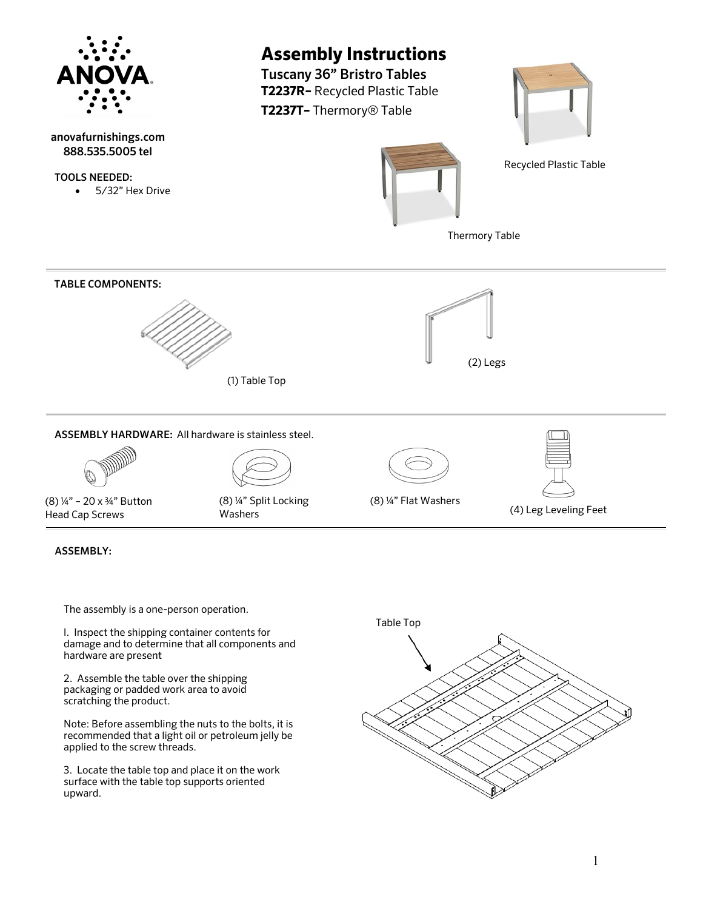